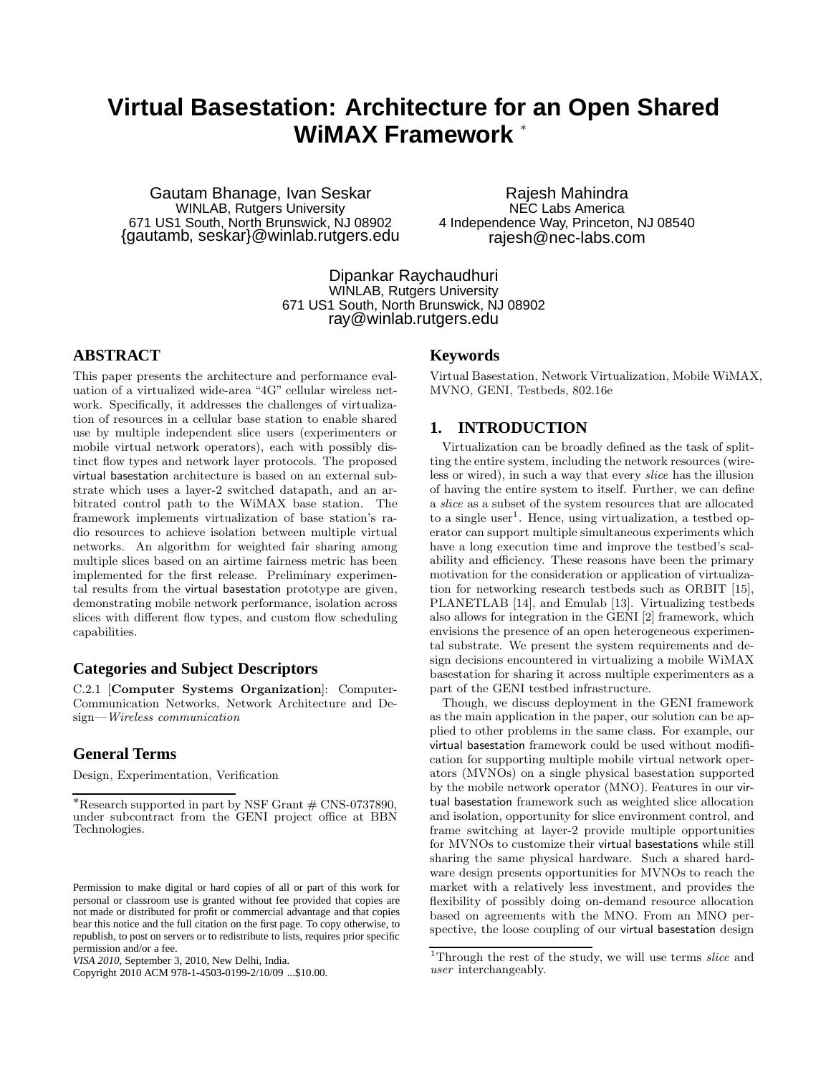# **Virtual Basestation: Architecture for an Open Shared WiMAX Framework** <sup>∗</sup>

Gautam Bhanage, Ivan Seskar WINLAB, Rutgers University 671 US1 South, North Brunswick, NJ 08902 {gautamb, seskar}@winlab.rutgers.edu

Rajesh Mahindra NEC Labs America 4 Independence Way, Princeton, NJ 08540 rajesh@nec-labs.com

Dipankar Raychaudhuri WINLAB, Rutgers University 671 US1 South, North Brunswick, NJ 08902 ray@winlab.rutgers.edu

## **ABSTRACT**

This paper presents the architecture and performance evaluation of a virtualized wide-area "4G" cellular wireless network. Specifically, it addresses the challenges of virtualization of resources in a cellular base station to enable shared use by multiple independent slice users (experimenters or mobile virtual network operators), each with possibly distinct flow types and network layer protocols. The proposed virtual basestation architecture is based on an external substrate which uses a layer-2 switched datapath, and an arbitrated control path to the WiMAX base station. The framework implements virtualization of base station's radio resources to achieve isolation between multiple virtual networks. An algorithm for weighted fair sharing among multiple slices based on an airtime fairness metric has been implemented for the first release. Preliminary experimental results from the virtual basestation prototype are given, demonstrating mobile network performance, isolation across slices with different flow types, and custom flow scheduling capabilities.

## **Categories and Subject Descriptors**

C.2.1 [**Computer Systems Organization**]: Computer-Communication Networks, Network Architecture and Design—*Wireless communication*

## **General Terms**

Design, Experimentation, Verification

Copyright 2010 ACM 978-1-4503-0199-2/10/09 ...\$10.00.

#### **Keywords**

Virtual Basestation, Network Virtualization, Mobile WiMAX, MVNO, GENI, Testbeds, 802.16e

## **1. INTRODUCTION**

Virtualization can be broadly defined as the task of splitting the entire system, including the network resources (wireless or wired), in such a way that every *slice* has the illusion of having the entire system to itself. Further, we can define a *slice* as a subset of the system resources that are allocated to a single user<sup>1</sup>. Hence, using virtualization, a testbed operator can support multiple simultaneous experiments which have a long execution time and improve the testbed's scalability and efficiency. These reasons have been the primary motivation for the consideration or application of virtualization for networking research testbeds such as ORBIT [15], PLANETLAB [14], and Emulab [13]. Virtualizing testbeds also allows for integration in the GENI [2] framework, which envisions the presence of an open heterogeneous experimental substrate. We present the system requirements and design decisions encountered in virtualizing a mobile WiMAX basestation for sharing it across multiple experimenters as a part of the GENI testbed infrastructure.

Though, we discuss deployment in the GENI framework as the main application in the paper, our solution can be applied to other problems in the same class. For example, our virtual basestation framework could be used without modification for supporting multiple mobile virtual network operators (MVNOs) on a single physical basestation supported by the mobile network operator (MNO). Features in our virtual basestation framework such as weighted slice allocation and isolation, opportunity for slice environment control, and frame switching at layer-2 provide multiple opportunities for MVNOs to customize their virtual basestations while still sharing the same physical hardware. Such a shared hardware design presents opportunities for MVNOs to reach the market with a relatively less investment, and provides the flexibility of possibly doing on-demand resource allocation based on agreements with the MNO. From an MNO perspective, the loose coupling of our virtual basestation design

<sup>\*</sup>Research supported in part by NSF Grant  $#$  CNS-0737890, under subcontract from the GENI project office at BBN Technologies.

Permission to make digital or hard copies of all or part of this work for personal or classroom use is granted without fee provided that copies are not made or distributed for profit or commercial advantage and that copies bear this notice and the full citation on the first page. To copy otherwise, to republish, to post on servers or to redistribute to lists, requires prior specific permission and/or a fee.

*VISA 2010,* September 3, 2010, New Delhi, India.

<sup>1</sup>Through the rest of the study, we will use terms *slice* and *user* interchangeably.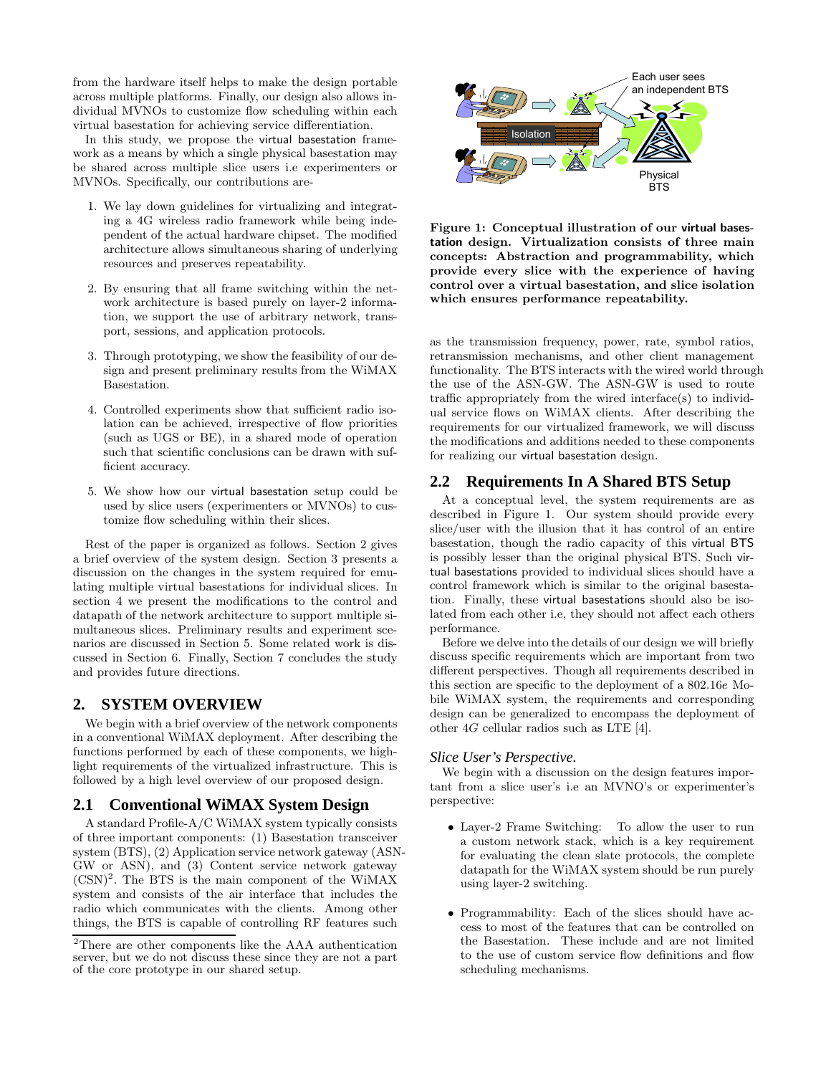from the hardware itself helps to make the design portable across multiple platforms. Finally, our design also allows individual MVNOs to customize flow scheduling within each virtual basestation for achieving service differentiation.

In this study, we propose the virtual basestation framework as a means by which a single physical basestation may be shared across multiple slice users i.e experimenters or MVNOs. Specifically, our contributions are-

- 1. We lay down guidelines for virtualizing and integrating a 4G wireless radio framework while being independent of the actual hardware chipset. The modified architecture allows simultaneous sharing of underlying resources and preserves repeatability.
- 2. By ensuring that all frame switching within the network architecture is based purely on layer-2 information, we support the use of arbitrary network, transport, sessions, and application protocols.
- 3. Through prototyping, we show the feasibility of our design and present preliminary results from the WiMAX Basestation.
- 4. Controlled experiments show that sufficient radio isolation can be achieved, irrespective of flow priorities (such as UGS or BE), in a shared mode of operation such that scientific conclusions can be drawn with sufficient accuracy.
- 5. We show how our virtual basestation setup could be used by slice users (experimenters or MVNOs) to customize flow scheduling within their slices.

Rest of the paper is organized as follows. Section 2 gives a brief overview of the system design. Section 3 presents a discussion on the changes in the system required for emulating multiple virtual basestations for individual slices. In section 4 we present the modifications to the control and datapath of the network architecture to support multiple simultaneous slices. Preliminary results and experiment scenarios are discussed in Section 5. Some related work is discussed in Section 6. Finally, Section 7 concludes the study and provides future directions.

#### **2. SYSTEM OVERVIEW**

We begin with a brief overview of the network components in a conventional WiMAX deployment. After describing the functions performed by each of these components, we highlight requirements of the virtualized infrastructure. This is followed by a high level overview of our proposed design.

#### **2.1 Conventional WiMAX System Design**

A standard Profile-A/C WiMAX system typically consists of three important components: (1) Basestation transceiver system (BTS), (2) Application service network gateway (ASN-GW or ASN), and (3) Content service network gateway  $(CSN)^2$ . The BTS is the main component of the WiMAX system and consists of the air interface that includes the radio which communicates with the clients. Among other things, the BTS is capable of controlling RF features such



**Figure 1: Conceptual illustration of our virtual basestation design. Virtualization consists of three main concepts: Abstraction and programmability, which provide every slice with the experience of having control over a virtual basestation, and slice isolation which ensures performance repeatability.**

as the transmission frequency, power, rate, symbol ratios, retransmission mechanisms, and other client management functionality. The BTS interacts with the wired world through the use of the ASN-GW. The ASN-GW is used to route traffic appropriately from the wired interface(s) to individual service flows on WiMAX clients. After describing the requirements for our virtualized framework, we will discuss the modifications and additions needed to these components for realizing our virtual basestation design.

## **2.2 Requirements In A Shared BTS Setup**

At a conceptual level, the system requirements are as described in Figure 1. Our system should provide every slice/user with the illusion that it has control of an entire basestation, though the radio capacity of this virtual BTS is possibly lesser than the original physical BTS. Such virtual basestations provided to individual slices should have a control framework which is similar to the original basestation. Finally, these virtual basestations should also be isolated from each other i.e, they should not affect each others performance.

Before we delve into the details of our design we will briefly discuss specific requirements which are important from two different perspectives. Though all requirements described in this section are specific to the deployment of a 802*.*16*e* Mobile WiMAX system, the requirements and corresponding design can be generalized to encompass the deployment of other 4*G* cellular radios such as LTE [4].

#### *Slice User's Perspective.*

We begin with a discussion on the design features important from a slice user's i.e an MVNO's or experimenter's perspective:

- Layer-2 Frame Switching: To allow the user to run a custom network stack, which is a key requirement for evaluating the clean slate protocols, the complete datapath for the WiMAX system should be run purely using layer-2 switching.
- Programmability: Each of the slices should have access to most of the features that can be controlled on the Basestation. These include and are not limited to the use of custom service flow definitions and flow scheduling mechanisms.

<sup>2</sup>There are other components like the AAA authentication server, but we do not discuss these since they are not a part of the core prototype in our shared setup.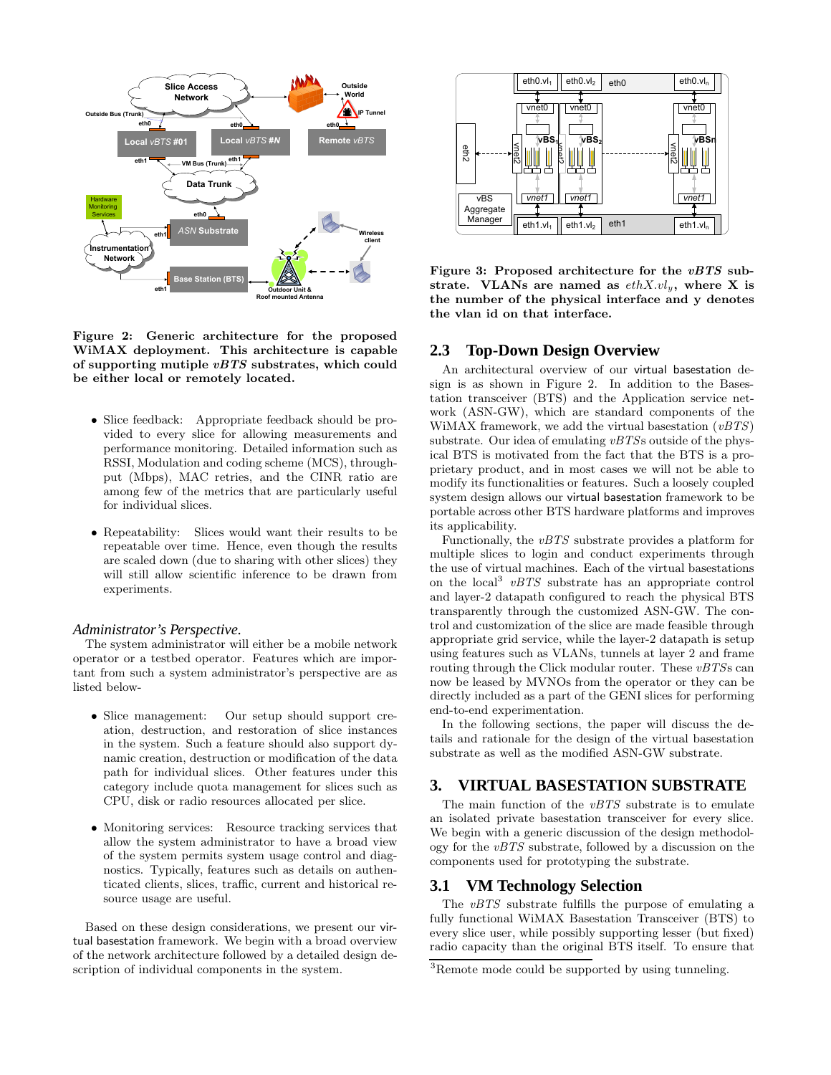

**Figure 2: Generic architecture for the proposed WiMAX deployment. This architecture is capable of supporting mutiple** *vBTS* **substrates, which could be either local or remotely located.**

- Slice feedback: Appropriate feedback should be provided to every slice for allowing measurements and performance monitoring. Detailed information such as RSSI, Modulation and coding scheme (MCS), throughput (Mbps), MAC retries, and the CINR ratio are among few of the metrics that are particularly useful for individual slices.
- Repeatability: Slices would want their results to be repeatable over time. Hence, even though the results are scaled down (due to sharing with other slices) they will still allow scientific inference to be drawn from experiments.

#### *Administrator's Perspective.*

The system administrator will either be a mobile network operator or a testbed operator. Features which are important from such a system administrator's perspective are as listed below-

- Slice management: Our setup should support creation, destruction, and restoration of slice instances in the system. Such a feature should also support dynamic creation, destruction or modification of the data path for individual slices. Other features under this category include quota management for slices such as CPU, disk or radio resources allocated per slice.
- Monitoring services: Resource tracking services that allow the system administrator to have a broad view of the system permits system usage control and diagnostics. Typically, features such as details on authenticated clients, slices, traffic, current and historical resource usage are useful.

Based on these design considerations, we present our virtual basestation framework. We begin with a broad overview of the network architecture followed by a detailed design description of individual components in the system.



**Figure 3: Proposed architecture for the** *vBTS* **substrate. VLANs are named as** *ethX.vly***, where X is the number of the physical interface and y denotes the vlan id on that interface.**

#### **2.3 Top-Down Design Overview**

An architectural overview of our virtual basestation design is as shown in Figure 2. In addition to the Basestation transceiver (BTS) and the Application service network (ASN-GW), which are standard components of the WiMAX framework, we add the virtual basestation (*vBTS*) substrate. Our idea of emulating *vBTS*s outside of the physical BTS is motivated from the fact that the BTS is a proprietary product, and in most cases we will not be able to modify its functionalities or features. Such a loosely coupled system design allows our virtual basestation framework to be portable across other BTS hardware platforms and improves its applicability.

Functionally, the *vBTS* substrate provides a platform for multiple slices to login and conduct experiments through the use of virtual machines. Each of the virtual basestations on the local<sup>3</sup> *vBTS* substrate has an appropriate control and layer-2 datapath configured to reach the physical BTS transparently through the customized ASN-GW. The control and customization of the slice are made feasible through appropriate grid service, while the layer-2 datapath is setup using features such as VLANs, tunnels at layer 2 and frame routing through the Click modular router. These *vBTS*s can now be leased by MVNOs from the operator or they can be directly included as a part of the GENI slices for performing end-to-end experimentation.

In the following sections, the paper will discuss the details and rationale for the design of the virtual basestation substrate as well as the modified ASN-GW substrate.

#### **3. VIRTUAL BASESTATION SUBSTRATE**

The main function of the *vBTS* substrate is to emulate an isolated private basestation transceiver for every slice. We begin with a generic discussion of the design methodology for the *vBTS* substrate, followed by a discussion on the components used for prototyping the substrate.

#### **3.1 VM Technology Selection**

The *vBTS* substrate fulfills the purpose of emulating a fully functional WiMAX Basestation Transceiver (BTS) to every slice user, while possibly supporting lesser (but fixed) radio capacity than the original BTS itself. To ensure that

<sup>3</sup>Remote mode could be supported by using tunneling.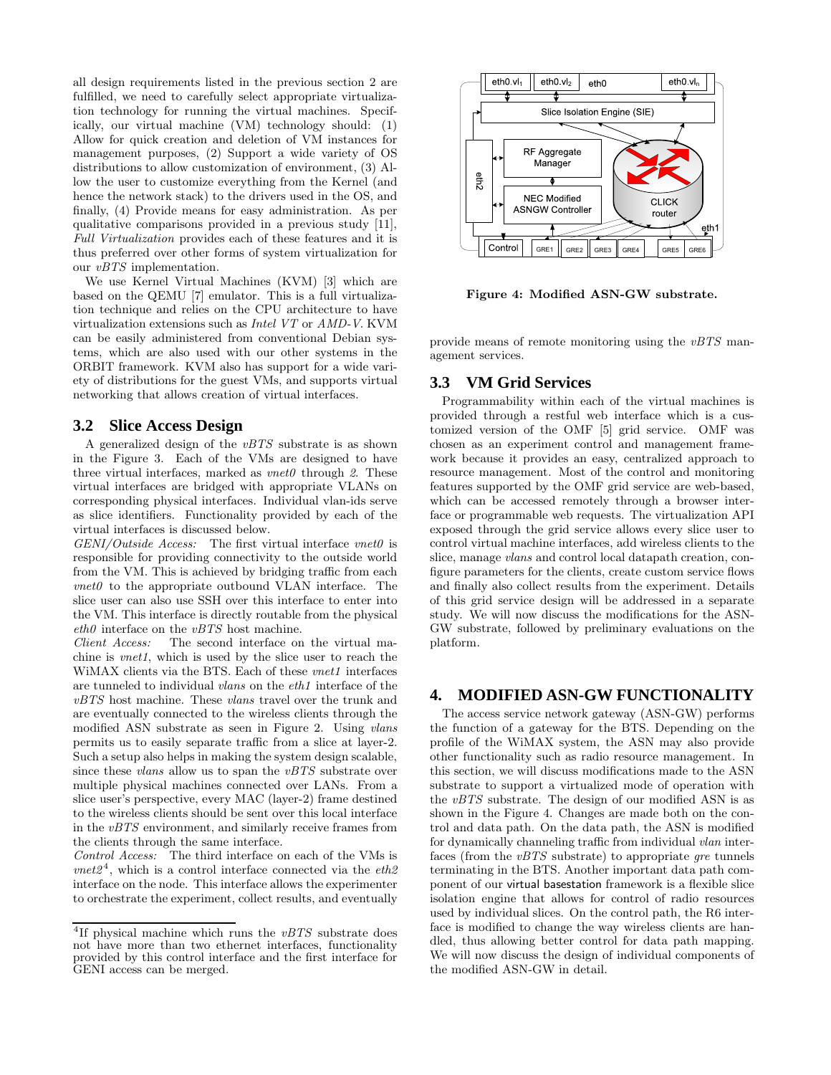all design requirements listed in the previous section 2 are fulfilled, we need to carefully select appropriate virtualization technology for running the virtual machines. Specifically, our virtual machine (VM) technology should: (1) Allow for quick creation and deletion of VM instances for management purposes, (2) Support a wide variety of OS distributions to allow customization of environment, (3) Allow the user to customize everything from the Kernel (and hence the network stack) to the drivers used in the OS, and finally, (4) Provide means for easy administration. As per qualitative comparisons provided in a previous study [11], *Full Virtualization* provides each of these features and it is thus preferred over other forms of system virtualization for our *vBTS* implementation.

We use Kernel Virtual Machines (KVM) [3] which are based on the QEMU [7] emulator. This is a full virtualization technique and relies on the CPU architecture to have virtualization extensions such as *Intel VT* or *AMD-V*. KVM can be easily administered from conventional Debian systems, which are also used with our other systems in the ORBIT framework. KVM also has support for a wide variety of distributions for the guest VMs, and supports virtual networking that allows creation of virtual interfaces.

## **3.2 Slice Access Design**

A generalized design of the *vBTS* substrate is as shown in the Figure 3. Each of the VMs are designed to have three virtual interfaces, marked as *vnet0* through *2*. These virtual interfaces are bridged with appropriate VLANs on corresponding physical interfaces. Individual vlan-ids serve as slice identifiers. Functionality provided by each of the virtual interfaces is discussed below.

*GENI/Outside Access:* The first virtual interface *vnet0* is responsible for providing connectivity to the outside world from the VM. This is achieved by bridging traffic from each *vnet0* to the appropriate outbound VLAN interface. The slice user can also use SSH over this interface to enter into the VM. This interface is directly routable from the physical  $e th\theta$  interface on the  $vBTS$  host machine.

*Client Access:* The second interface on the virtual machine is *vnet1*, which is used by the slice user to reach the WiMAX clients via the BTS. Each of these *vnet1* interfaces are tunneled to individual *vlans* on the *eth1* interface of the *vBTS* host machine. These *vlans* travel over the trunk and are eventually connected to the wireless clients through the modified ASN substrate as seen in Figure 2. Using *vlans* permits us to easily separate traffic from a slice at layer-2. Such a setup also helps in making the system design scalable, since these *vlans* allow us to span the *vBTS* substrate over multiple physical machines connected over LANs. From a slice user's perspective, every MAC (layer-2) frame destined to the wireless clients should be sent over this local interface in the *vBTS* environment, and similarly receive frames from the clients through the same interface.

*Control Access:* The third interface on each of the VMs is  $vnet2<sup>4</sup>$ , which is a control interface connected via the  $eth2$ interface on the node. This interface allows the experimenter to orchestrate the experiment, collect results, and eventually



**Figure 4: Modified ASN-GW substrate.**

provide means of remote monitoring using the *vBTS* management services.

#### **3.3 VM Grid Services**

Programmability within each of the virtual machines is provided through a restful web interface which is a customized version of the OMF [5] grid service. OMF was chosen as an experiment control and management framework because it provides an easy, centralized approach to resource management. Most of the control and monitoring features supported by the OMF grid service are web-based, which can be accessed remotely through a browser interface or programmable web requests. The virtualization API exposed through the grid service allows every slice user to control virtual machine interfaces, add wireless clients to the slice, manage *vlans* and control local datapath creation, configure parameters for the clients, create custom service flows and finally also collect results from the experiment. Details of this grid service design will be addressed in a separate study. We will now discuss the modifications for the ASN-GW substrate, followed by preliminary evaluations on the platform.

## **4. MODIFIED ASN-GW FUNCTIONALITY**

The access service network gateway (ASN-GW) performs the function of a gateway for the BTS. Depending on the profile of the WiMAX system, the ASN may also provide other functionality such as radio resource management. In this section, we will discuss modifications made to the ASN substrate to support a virtualized mode of operation with the *vBTS* substrate. The design of our modified ASN is as shown in the Figure 4. Changes are made both on the control and data path. On the data path, the ASN is modified for dynamically channeling traffic from individual *vlan* interfaces (from the *vBTS* substrate) to appropriate *gre* tunnels terminating in the BTS. Another important data path component of our virtual basestation framework is a flexible slice isolation engine that allows for control of radio resources used by individual slices. On the control path, the R6 interface is modified to change the way wireless clients are handled, thus allowing better control for data path mapping. We will now discuss the design of individual components of the modified ASN-GW in detail.

<sup>4</sup>If physical machine which runs the *vBTS* substrate does not have more than two ethernet interfaces, functionality provided by this control interface and the first interface for GENI access can be merged.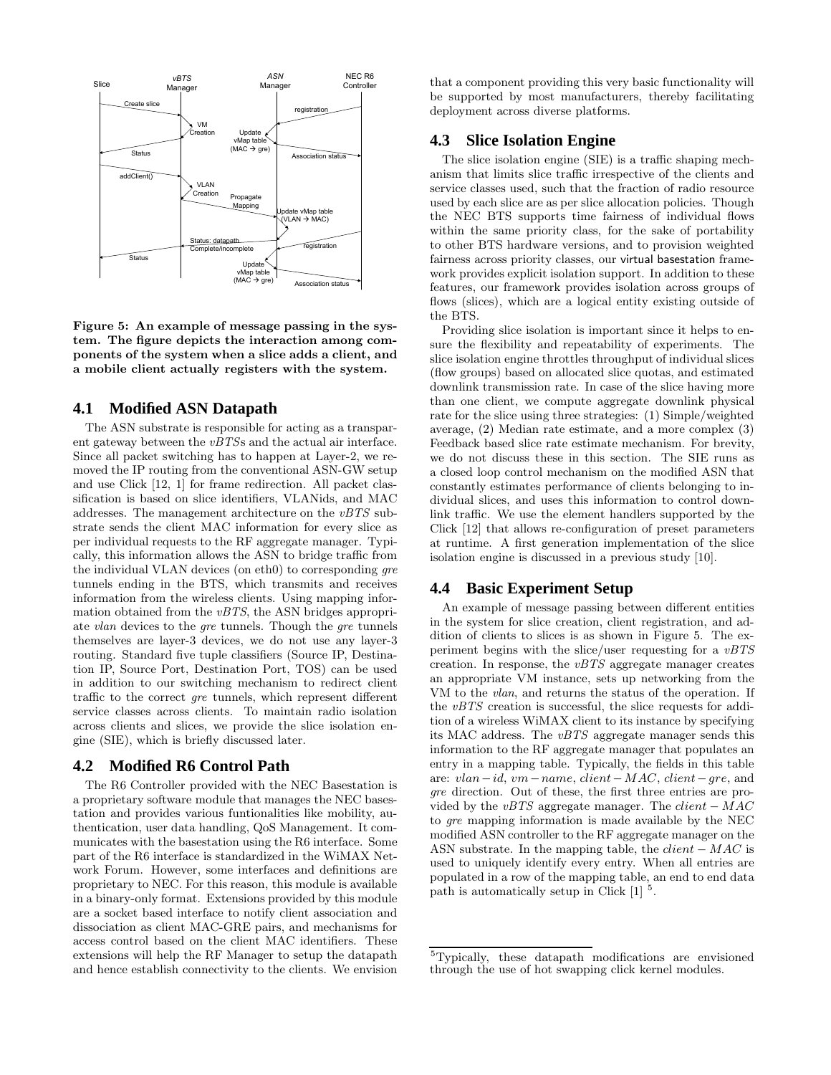

**Figure 5: An example of message passing in the system. The figure depicts the interaction among components of the system when a slice adds a client, and a mobile client actually registers with the system.**

#### **4.1 Modified ASN Datapath**

The ASN substrate is responsible for acting as a transparent gateway between the *vBTS*s and the actual air interface. Since all packet switching has to happen at Layer-2, we removed the IP routing from the conventional ASN-GW setup and use Click [12, 1] for frame redirection. All packet classification is based on slice identifiers, VLANids, and MAC addresses. The management architecture on the *vBTS* substrate sends the client MAC information for every slice as per individual requests to the RF aggregate manager. Typically, this information allows the ASN to bridge traffic from the individual VLAN devices (on eth0) to corresponding *gre* tunnels ending in the BTS, which transmits and receives information from the wireless clients. Using mapping information obtained from the *vBTS*, the ASN bridges appropriate *vlan* devices to the *gre* tunnels. Though the *gre* tunnels themselves are layer-3 devices, we do not use any layer-3 routing. Standard five tuple classifiers (Source IP, Destination IP, Source Port, Destination Port, TOS) can be used in addition to our switching mechanism to redirect client traffic to the correct *gre* tunnels, which represent different service classes across clients. To maintain radio isolation across clients and slices, we provide the slice isolation engine (SIE), which is briefly discussed later.

#### **4.2 Modified R6 Control Path**

The R6 Controller provided with the NEC Basestation is a proprietary software module that manages the NEC basestation and provides various funtionalities like mobility, authentication, user data handling, QoS Management. It communicates with the basestation using the R6 interface. Some part of the R6 interface is standardized in the WiMAX Network Forum. However, some interfaces and definitions are proprietary to NEC. For this reason, this module is available in a binary-only format. Extensions provided by this module are a socket based interface to notify client association and dissociation as client MAC-GRE pairs, and mechanisms for access control based on the client MAC identifiers. These extensions will help the RF Manager to setup the datapath and hence establish connectivity to the clients. We envision that a component providing this very basic functionality will be supported by most manufacturers, thereby facilitating deployment across diverse platforms.

#### **4.3 Slice Isolation Engine**

The slice isolation engine (SIE) is a traffic shaping mechanism that limits slice traffic irrespective of the clients and service classes used, such that the fraction of radio resource used by each slice are as per slice allocation policies. Though the NEC BTS supports time fairness of individual flows within the same priority class, for the sake of portability to other BTS hardware versions, and to provision weighted fairness across priority classes, our virtual basestation framework provides explicit isolation support. In addition to these features, our framework provides isolation across groups of flows (slices), which are a logical entity existing outside of the BTS.

Providing slice isolation is important since it helps to ensure the flexibility and repeatability of experiments. The slice isolation engine throttles throughput of individual slices (flow groups) based on allocated slice quotas, and estimated downlink transmission rate. In case of the slice having more than one client, we compute aggregate downlink physical rate for the slice using three strategies: (1) Simple/weighted average, (2) Median rate estimate, and a more complex (3) Feedback based slice rate estimate mechanism. For brevity, we do not discuss these in this section. The SIE runs as a closed loop control mechanism on the modified ASN that constantly estimates performance of clients belonging to individual slices, and uses this information to control downlink traffic. We use the element handlers supported by the Click [12] that allows re-configuration of preset parameters at runtime. A first generation implementation of the slice isolation engine is discussed in a previous study [10].

#### **4.4 Basic Experiment Setup**

An example of message passing between different entities in the system for slice creation, client registration, and addition of clients to slices is as shown in Figure 5. The experiment begins with the slice/user requesting for a *vBTS* creation. In response, the *vBTS* aggregate manager creates an appropriate VM instance, sets up networking from the VM to the *vlan*, and returns the status of the operation. If the *vBTS* creation is successful, the slice requests for addition of a wireless WiMAX client to its instance by specifying its MAC address. The *vBTS* aggregate manager sends this information to the RF aggregate manager that populates an entry in a mapping table. Typically, the fields in this table are: *vlan*−*id*, *vm*−*name*, *client*−*MAC*, *client*−*gre*, and *gre* direction. Out of these, the first three entries are provided by the *vBTS* aggregate manager. The *client* − *MAC* to *gre* mapping information is made available by the NEC modified ASN controller to the RF aggregate manager on the ASN substrate. In the mapping table, the *client* − *MAC* is used to uniquely identify every entry. When all entries are populated in a row of the mapping table, an end to end data path is automatically setup in Click  $[1]$ <sup>5</sup>.

<sup>5</sup>Typically, these datapath modifications are envisioned through the use of hot swapping click kernel modules.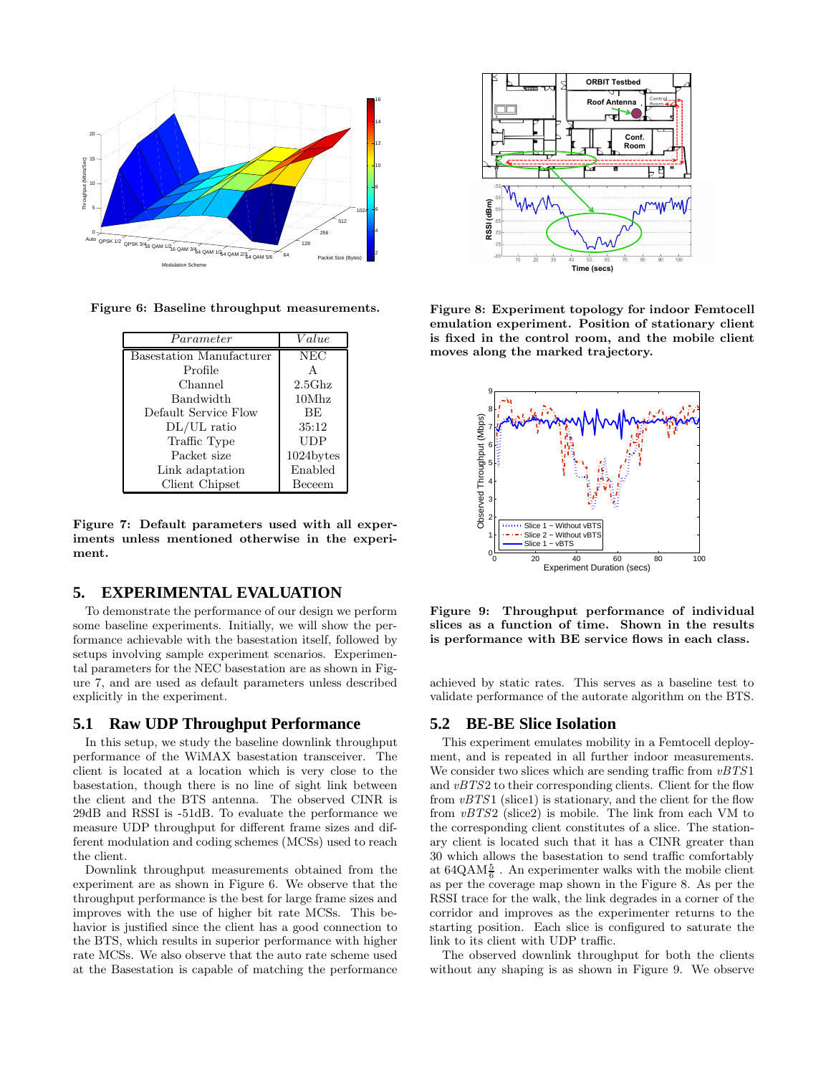

**Figure 6: Baseline throughput measurements.**

| Parameter                | Value     |
|--------------------------|-----------|
| Basestation Manufacturer | NEC       |
| Profile                  | A         |
| Channel                  | $2.5G$ hz |
| Bandwidth                | 10Mhz     |
| Default Service Flow     | BE.       |
| $DL/UL$ ratio            | 35:12     |
| Traffic Type             | UDP       |
| Packet size              | 1024bytes |
| Link adaptation          | Enabled   |
| Client Chipset           | Beceem    |

**Figure 7: Default parameters used with all experiments unless mentioned otherwise in the experiment.**

#### **5. EXPERIMENTAL EVALUATION**

To demonstrate the performance of our design we perform some baseline experiments. Initially, we will show the performance achievable with the basestation itself, followed by setups involving sample experiment scenarios. Experimental parameters for the NEC basestation are as shown in Figure 7, and are used as default parameters unless described explicitly in the experiment.

#### **5.1 Raw UDP Throughput Performance**

In this setup, we study the baseline downlink throughput performance of the WiMAX basestation transceiver. The client is located at a location which is very close to the basestation, though there is no line of sight link between the client and the BTS antenna. The observed CINR is 29dB and RSSI is -51dB. To evaluate the performance we measure UDP throughput for different frame sizes and different modulation and coding schemes (MCSs) used to reach the client.

Downlink throughput measurements obtained from the experiment are as shown in Figure 6. We observe that the throughput performance is the best for large frame sizes and improves with the use of higher bit rate MCSs. This behavior is justified since the client has a good connection to the BTS, which results in superior performance with higher rate MCSs. We also observe that the auto rate scheme used at the Basestation is capable of matching the performance



**Figure 8: Experiment topology for indoor Femtocell emulation experiment. Position of stationary client is fixed in the control room, and the mobile client moves along the marked trajectory.**



**Figure 9: Throughput performance of individual slices as a function of time. Shown in the results is performance with BE service flows in each class.**

achieved by static rates. This serves as a baseline test to validate performance of the autorate algorithm on the BTS.

## **5.2 BE-BE Slice Isolation**

This experiment emulates mobility in a Femtocell deployment, and is repeated in all further indoor measurements. We consider two slices which are sending traffic from *vBTS*1 and *vBTS*2 to their corresponding clients. Client for the flow from *vBTS*1 (slice1) is stationary, and the client for the flow from *vBTS*2 (slice2) is mobile. The link from each VM to the corresponding client constitutes of a slice. The stationary client is located such that it has a CINR greater than 30 which allows the basestation to send traffic comfortably at  $64{\rm QAM}\frac{5}{6}$ . An experimenter walks with the mobile client as per the coverage map shown in the Figure 8. As per the RSSI trace for the walk, the link degrades in a corner of the corridor and improves as the experimenter returns to the starting position. Each slice is configured to saturate the link to its client with UDP traffic.

The observed downlink throughput for both the clients without any shaping is as shown in Figure 9. We observe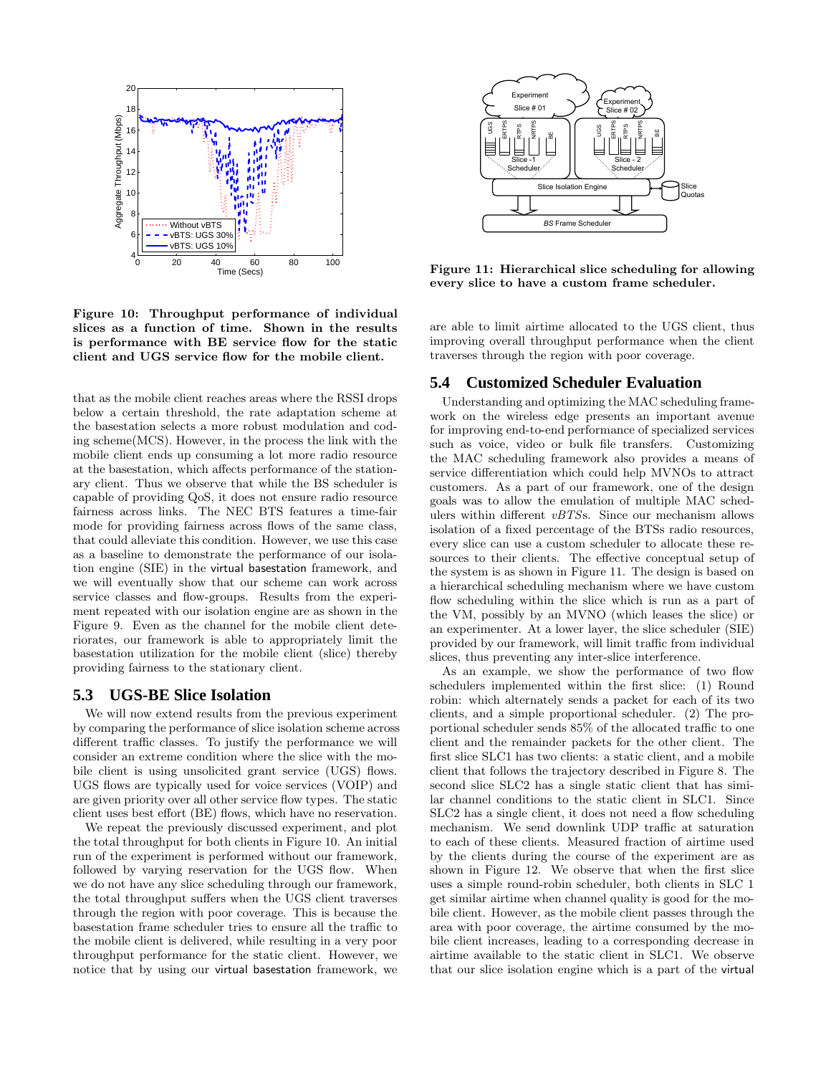

**Figure 10: Throughput performance of individual slices as a function of time. Shown in the results is performance with BE service flow for the static client and UGS service flow for the mobile client.**

that as the mobile client reaches areas where the RSSI drops below a certain threshold, the rate adaptation scheme at the basestation selects a more robust modulation and coding scheme(MCS). However, in the process the link with the mobile client ends up consuming a lot more radio resource at the basestation, which affects performance of the stationary client. Thus we observe that while the BS scheduler is capable of providing QoS, it does not ensure radio resource fairness across links. The NEC BTS features a time-fair mode for providing fairness across flows of the same class, that could alleviate this condition. However, we use this case as a baseline to demonstrate the performance of our isolation engine (SIE) in the virtual basestation framework, and we will eventually show that our scheme can work across service classes and flow-groups. Results from the experiment repeated with our isolation engine are as shown in the Figure 9. Even as the channel for the mobile client deteriorates, our framework is able to appropriately limit the basestation utilization for the mobile client (slice) thereby providing fairness to the stationary client.

## **5.3 UGS-BE Slice Isolation**

We will now extend results from the previous experiment by comparing the performance of slice isolation scheme across different traffic classes. To justify the performance we will consider an extreme condition where the slice with the mobile client is using unsolicited grant service (UGS) flows. UGS flows are typically used for voice services (VOIP) and are given priority over all other service flow types. The static client uses best effort (BE) flows, which have no reservation.

We repeat the previously discussed experiment, and plot the total throughput for both clients in Figure 10. An initial run of the experiment is performed without our framework, followed by varying reservation for the UGS flow. When we do not have any slice scheduling through our framework, the total throughput suffers when the UGS client traverses through the region with poor coverage. This is because the basestation frame scheduler tries to ensure all the traffic to the mobile client is delivered, while resulting in a very poor throughput performance for the static client. However, we notice that by using our virtual basestation framework, we



**Figure 11: Hierarchical slice scheduling for allowing every slice to have a custom frame scheduler.**

are able to limit airtime allocated to the UGS client, thus improving overall throughput performance when the client traverses through the region with poor coverage.

#### **5.4 Customized Scheduler Evaluation**

Understanding and optimizing the MAC scheduling framework on the wireless edge presents an important avenue for improving end-to-end performance of specialized services such as voice, video or bulk file transfers. Customizing the MAC scheduling framework also provides a means of service differentiation which could help MVNOs to attract customers. As a part of our framework, one of the design goals was to allow the emulation of multiple MAC schedulers within different *vBTS*s. Since our mechanism allows isolation of a fixed percentage of the BTSs radio resources, every slice can use a custom scheduler to allocate these resources to their clients. The effective conceptual setup of the system is as shown in Figure 11. The design is based on a hierarchical scheduling mechanism where we have custom flow scheduling within the slice which is run as a part of the VM, possibly by an MVNO (which leases the slice) or an experimenter. At a lower layer, the slice scheduler (SIE) provided by our framework, will limit traffic from individual slices, thus preventing any inter-slice interference.

As an example, we show the performance of two flow schedulers implemented within the first slice: (1) Round robin: which alternately sends a packet for each of its two clients, and a simple proportional scheduler. (2) The proportional scheduler sends 85% of the allocated traffic to one client and the remainder packets for the other client. The first slice SLC1 has two clients: a static client, and a mobile client that follows the trajectory described in Figure 8. The second slice SLC2 has a single static client that has similar channel conditions to the static client in SLC1. Since SLC2 has a single client, it does not need a flow scheduling mechanism. We send downlink UDP traffic at saturation to each of these clients. Measured fraction of airtime used by the clients during the course of the experiment are as shown in Figure 12. We observe that when the first slice uses a simple round-robin scheduler, both clients in SLC 1 get similar airtime when channel quality is good for the mobile client. However, as the mobile client passes through the area with poor coverage, the airtime consumed by the mobile client increases, leading to a corresponding decrease in airtime available to the static client in SLC1. We observe that our slice isolation engine which is a part of the virtual